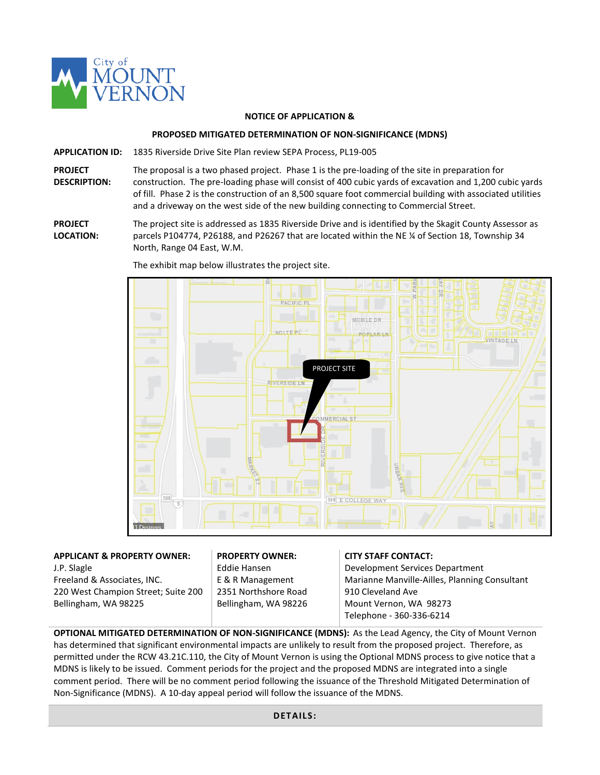

### **NOTICE OF APPLICATION &**

### **PROPOSED MITIGATED DETERMINATION OF NON-SIGNIFICANCE (MDNS)**

**APPLICATION ID:** 1835 Riverside Drive Site Plan review SEPA Process, PL19-005

**PROJECT DESCRIPTION:** The proposal is a two phased project. Phase 1 is the pre-loading of the site in preparation for construction. The pre-loading phase will consist of 400 cubic yards of excavation and 1,200 cubic yards of fill. Phase 2 is the construction of an 8,500 square foot commercial building with associated utilities and a driveway on the west side of the new building connecting to Commercial Street.

**PROJECT LOCATION:** The project site is addressed as 1835 Riverside Drive and is identified by the Skagit County Assessor as parcels P104774, P26188, and P26267 that are located within the NE ¼ of Section 18, Township 34 North, Range 04 East, W.M.



The exhibit map below illustrates the project site.

# **APPLICANT & PROPERTY OWNER:**

J.P. Slagle Freeland & Associates, INC. 220 West Champion Street; Suite 200 Bellingham, WA 98225

# **PROPERTY OWNER:**

Eddie Hansen E & R Management 2351 Northshore Road Bellingham, WA 98226

### **CITY STAFF CONTACT:**

Development Services Department Marianne Manville-Ailles, Planning Consultant 910 Cleveland Ave Mount Vernon, WA 98273 Telephone - 360-336-6214

**OPTIONAL MITIGATED DETERMINATION OF NON-SIGNIFICANCE (MDNS):** As the Lead Agency, the City of Mount Vernon has determined that significant environmental impacts are unlikely to result from the proposed project. Therefore, as permitted under the RCW 43.21C.110, the City of Mount Vernon is using the Optional MDNS process to give notice that a MDNS is likely to be issued. Comment periods for the project and the proposed MDNS are integrated into a single comment period. There will be no comment period following the issuance of the Threshold Mitigated Determination of Non-Significance (MDNS). A 10-day appeal period will follow the issuance of the MDNS.

### **DETAILS:**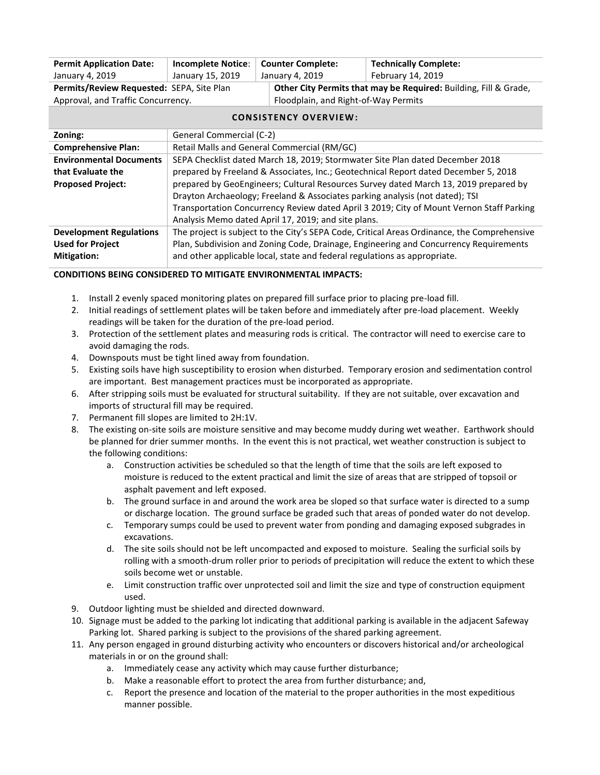| <b>Permit Application Date:</b>           | <b>Incomplete Notice:</b>                                                                   | <b>Counter Complete:</b>             |                                                                  | <b>Technically Complete:</b> |
|-------------------------------------------|---------------------------------------------------------------------------------------------|--------------------------------------|------------------------------------------------------------------|------------------------------|
| January 4, 2019                           | January 15, 2019                                                                            | January 4, 2019                      |                                                                  | February 14, 2019            |
| Permits/Review Requested: SEPA, Site Plan |                                                                                             |                                      | Other City Permits that may be Required: Building, Fill & Grade, |                              |
| Approval, and Traffic Concurrency.        |                                                                                             | Floodplain, and Right-of-Way Permits |                                                                  |                              |
| <b>CONSISTENCY OVERVIEW:</b>              |                                                                                             |                                      |                                                                  |                              |
| Zoning:                                   | General Commercial (C-2)                                                                    |                                      |                                                                  |                              |
| <b>Comprehensive Plan:</b>                | Retail Malls and General Commercial (RM/GC)                                                 |                                      |                                                                  |                              |
| <b>Environmental Documents</b>            | SEPA Checklist dated March 18, 2019; Stormwater Site Plan dated December 2018               |                                      |                                                                  |                              |
| that Evaluate the                         | prepared by Freeland & Associates, Inc.; Geotechnical Report dated December 5, 2018         |                                      |                                                                  |                              |
| <b>Proposed Project:</b>                  | prepared by GeoEngineers; Cultural Resources Survey dated March 13, 2019 prepared by        |                                      |                                                                  |                              |
|                                           | Drayton Archaeology; Freeland & Associates parking analysis (not dated); TSI                |                                      |                                                                  |                              |
|                                           | Transportation Concurrency Review dated April 3 2019; City of Mount Vernon Staff Parking    |                                      |                                                                  |                              |
|                                           | Analysis Memo dated April 17, 2019; and site plans.                                         |                                      |                                                                  |                              |
| <b>Development Regulations</b>            | The project is subject to the City's SEPA Code, Critical Areas Ordinance, the Comprehensive |                                      |                                                                  |                              |
| <b>Used for Project</b>                   | Plan, Subdivision and Zoning Code, Drainage, Engineering and Concurrency Requirements       |                                      |                                                                  |                              |
| <b>Mitigation:</b>                        | and other applicable local, state and federal regulations as appropriate.                   |                                      |                                                                  |                              |

## **CONDITIONS BEING CONSIDERED TO MITIGATE ENVIRONMENTAL IMPACTS:**

- 1. Install 2 evenly spaced monitoring plates on prepared fill surface prior to placing pre-load fill.
- 2. Initial readings of settlement plates will be taken before and immediately after pre-load placement. Weekly readings will be taken for the duration of the pre-load period.
- 3. Protection of the settlement plates and measuring rods is critical. The contractor will need to exercise care to avoid damaging the rods.
- 4. Downspouts must be tight lined away from foundation.
- 5. Existing soils have high susceptibility to erosion when disturbed. Temporary erosion and sedimentation control are important. Best management practices must be incorporated as appropriate.
- 6. After stripping soils must be evaluated for structural suitability. If they are not suitable, over excavation and imports of structural fill may be required.
- 7. Permanent fill slopes are limited to 2H:1V.
- 8. The existing on-site soils are moisture sensitive and may become muddy during wet weather. Earthwork should be planned for drier summer months. In the event this is not practical, wet weather construction is subject to the following conditions:
	- a. Construction activities be scheduled so that the length of time that the soils are left exposed to moisture is reduced to the extent practical and limit the size of areas that are stripped of topsoil or asphalt pavement and left exposed.
	- b. The ground surface in and around the work area be sloped so that surface water is directed to a sump or discharge location. The ground surface be graded such that areas of ponded water do not develop.
	- c. Temporary sumps could be used to prevent water from ponding and damaging exposed subgrades in excavations.
	- d. The site soils should not be left uncompacted and exposed to moisture. Sealing the surficial soils by rolling with a smooth-drum roller prior to periods of precipitation will reduce the extent to which these soils become wet or unstable.
	- e. Limit construction traffic over unprotected soil and limit the size and type of construction equipment used.
- 9. Outdoor lighting must be shielded and directed downward.
- 10. Signage must be added to the parking lot indicating that additional parking is available in the adjacent Safeway Parking lot. Shared parking is subject to the provisions of the shared parking agreement.
- 11. Any person engaged in ground disturbing activity who encounters or discovers historical and/or archeological materials in or on the ground shall:
	- a. Immediately cease any activity which may cause further disturbance;
	- b. Make a reasonable effort to protect the area from further disturbance; and,
	- c. Report the presence and location of the material to the proper authorities in the most expeditious manner possible.